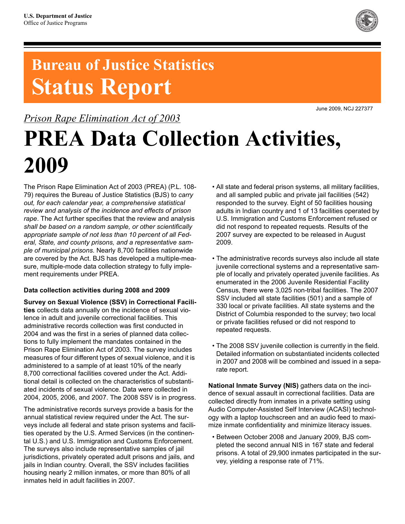

## **Bureau of Justice Statistics Status Report**

### *Prison Rape Elimination Act of 2003*

June 2009, NCJ 227377

# **PREA Data Collection Activities, 2009**

The Prison Rape Elimination Act of 2003 (PREA) (P.L. 108- 79) requires the Bureau of Justice Statistics (BJS) to *carry out, for each calendar year, a comprehensive statistical review and analysis of the incidence and effects of prison rape*. The Act further specifies that the review and analysis *shall be based on a random sample, or other scientifically appropriate sample of not less than 10 percent of all Federal, State, and county prisons, and a representative sample of municipal prisons*. Nearly 8,700 facilities nationwide are covered by the Act. BJS has developed a multiple-measure, multiple-mode data collection strategy to fully implement requirements under PREA.

#### **Data collection activities during 2008 and 2009**

**Survey on Sexual Violence (SSV) in Correctional Facilities** collects data annually on the incidence of sexual violence in adult and juvenile correctional facilities. This administrative records collection was first conducted in 2004 and was the first in a series of planned data collections to fully implement the mandates contained in the Prison Rape Elimination Act of 2003. The survey includes measures of four different types of sexual violence, and it is administered to a sample of at least 10% of the nearly 8,700 correctional facilities covered under the Act. Additional detail is collected on the characteristics of substantiated incidents of sexual violence. Data were collected in 2004, 2005, 2006, and 2007. The 2008 SSV is in progress.

The administrative records surveys provide a basis for the annual statistical review required under the Act. The surveys include all federal and state prison systems and facilities operated by the U.S. Armed Services (in the continental U.S.) and U.S. Immigration and Customs Enforcement. The surveys also include representative samples of jail jurisdictions, privately operated adult prisons and jails, and jails in Indian country. Overall, the SSV includes facilities housing nearly 2 million inmates, or more than 80% of all inmates held in adult facilities in 2007.

- All state and federal prison systems, all military facilities, and all sampled public and private jail facilities (542) responded to the survey. Eight of 50 facilities housing adults in Indian country and 1 of 13 facilities operated by U.S. Immigration and Customs Enforcement refused or did not respond to repeated requests. Results of the 2007 survey are expected to be released in August 2009.
- The administrative records surveys also include all state juvenile correctional systems and a representative sample of locally and privately operated juvenile facilities. As enumerated in the 2006 Juvenile Residential Facility Census, there were 3,025 non-tribal facilities. The 2007 SSV included all state facilities (501) and a sample of 330 local or private facilities. All state systems and the District of Columbia responded to the survey; two local or private facilities refused or did not respond to repeated requests.
- The 2008 SSV juvenile collection is currently in the field. Detailed information on substantiated incidents collected in 2007 and 2008 will be combined and issued in a separate report.

**National Inmate Survey (NIS)** gathers data on the incidence of sexual assault in correctional facilities. Data are collected directly from inmates in a private setting using Audio Computer-Assisted Self Interview (ACASI) technology with a laptop touchscreen and an audio feed to maximize inmate confidentiality and minimize literacy issues.

• Between October 2008 and January 2009, BJS completed the second annual NIS in 167 state and federal prisons. A total of 29,900 inmates participated in the survey, yielding a response rate of 71%.